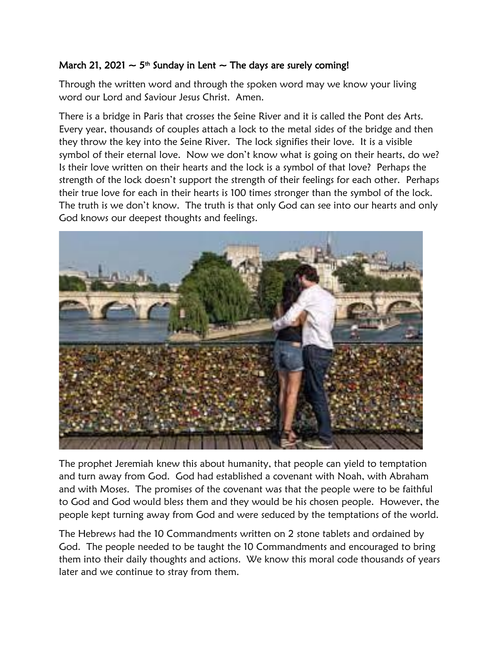## March 21, 2021  $\sim$  5<sup>th</sup> Sunday in Lent  $\sim$  The days are surely coming!

Through the written word and through the spoken word may we know your living word our Lord and Saviour Jesus Christ. Amen.

There is a bridge in Paris that crosses the Seine River and it is called the Pont des Arts. Every year, thousands of couples attach a lock to the metal sides of the bridge and then they throw the key into the Seine River. The lock signifies their love. It is a visible symbol of their eternal love. Now we don't know what is going on their hearts, do we? Is their love written on their hearts and the lock is a symbol of that love? Perhaps the strength of the lock doesn't support the strength of their feelings for each other. Perhaps their true love for each in their hearts is 100 times stronger than the symbol of the lock. The truth is we don't know. The truth is that only God can see into our hearts and only God knows our deepest thoughts and feelings.



The prophet Jeremiah knew this about humanity, that people can yield to temptation and turn away from God. God had established a covenant with Noah, with Abraham and with Moses. The promises of the covenant was that the people were to be faithful to God and God would bless them and they would be his chosen people. However, the people kept turning away from God and were seduced by the temptations of the world.

The Hebrews had the 10 Commandments written on 2 stone tablets and ordained by God. The people needed to be taught the 10 Commandments and encouraged to bring them into their daily thoughts and actions. We know this moral code thousands of years later and we continue to stray from them.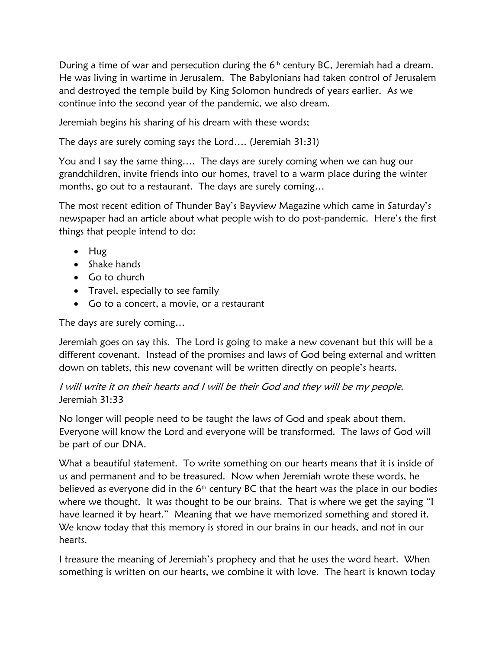During a time of war and persecution during the  $6<sup>th</sup>$  century BC, Jeremiah had a dream. He was living in wartime in Jerusalem. The Babylonians had taken control of Jerusalem and destroyed the temple build by King Solomon hundreds of years earlier. As we continue into the second year of the pandemic, we also dream.

Jeremiah begins his sharing of his dream with these words;

The days are surely coming says the Lord…. (Jeremiah 31:31)

You and I say the same thing…. The days are surely coming when we can hug our grandchildren, invite friends into our homes, travel to a warm place during the winter months, go out to a restaurant. The days are surely coming…

The most recent edition of Thunder Bay's Bayview Magazine which came in Saturday's newspaper had an article about what people wish to do post-pandemic. Here's the first things that people intend to do:

- Hug
- Shake hands
- Go to church
- Travel, especially to see family
- Go to a concert, a movie, or a restaurant

The days are surely coming…

Jeremiah goes on say this. The Lord is going to make a new covenant but this will be a different covenant. Instead of the promises and laws of God being external and written down on tablets, this new covenant will be written directly on people's hearts.

## I will write it on their hearts and I will be their God and they will be my people. Jeremiah 31:33

No longer will people need to be taught the laws of God and speak about them. Everyone will know the Lord and everyone will be transformed. The laws of God will be part of our DNA.

What a beautiful statement. To write something on our hearts means that it is inside of us and permanent and to be treasured. Now when Jeremiah wrote these words, he believed as everyone did in the  $6<sup>th</sup>$  century BC that the heart was the place in our bodies where we thought. It was thought to be our brains. That is where we get the saying "I have learned it by heart." Meaning that we have memorized something and stored it. We know today that this memory is stored in our brains in our heads, and not in our hearts.

I treasure the meaning of Jeremiah's prophecy and that he uses the word heart. When something is written on our hearts, we combine it with love. The heart is known today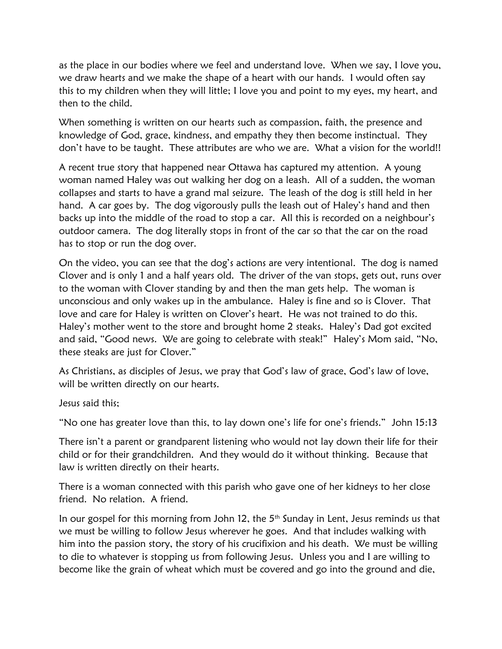as the place in our bodies where we feel and understand love. When we say, I love you, we draw hearts and we make the shape of a heart with our hands. I would often say this to my children when they will little; I love you and point to my eyes, my heart, and then to the child.

When something is written on our hearts such as compassion, faith, the presence and knowledge of God, grace, kindness, and empathy they then become instinctual. They don't have to be taught. These attributes are who we are. What a vision for the world!!

A recent true story that happened near Ottawa has captured my attention. A young woman named Haley was out walking her dog on a leash. All of a sudden, the woman collapses and starts to have a grand mal seizure. The leash of the dog is still held in her hand. A car goes by. The dog vigorously pulls the leash out of Haley's hand and then backs up into the middle of the road to stop a car. All this is recorded on a neighbour's outdoor camera. The dog literally stops in front of the car so that the car on the road has to stop or run the dog over.

On the video, you can see that the dog's actions are very intentional. The dog is named Clover and is only 1 and a half years old. The driver of the van stops, gets out, runs over to the woman with Clover standing by and then the man gets help. The woman is unconscious and only wakes up in the ambulance. Haley is fine and so is Clover. That love and care for Haley is written on Clover's heart. He was not trained to do this. Haley's mother went to the store and brought home 2 steaks. Haley's Dad got excited and said, "Good news. We are going to celebrate with steak!" Haley's Mom said, "No, these steaks are just for Clover."

As Christians, as disciples of Jesus, we pray that God's law of grace, God's law of love, will be written directly on our hearts.

Jesus said this;

"No one has greater love than this, to lay down one's life for one's friends." John 15:13

There isn't a parent or grandparent listening who would not lay down their life for their child or for their grandchildren. And they would do it without thinking. Because that law is written directly on their hearts.

There is a woman connected with this parish who gave one of her kidneys to her close friend. No relation. A friend.

In our gospel for this morning from John 12, the 5<sup>th</sup> Sunday in Lent, Jesus reminds us that we must be willing to follow Jesus wherever he goes. And that includes walking with him into the passion story, the story of his crucifixion and his death. We must be willing to die to whatever is stopping us from following Jesus. Unless you and I are willing to become like the grain of wheat which must be covered and go into the ground and die,